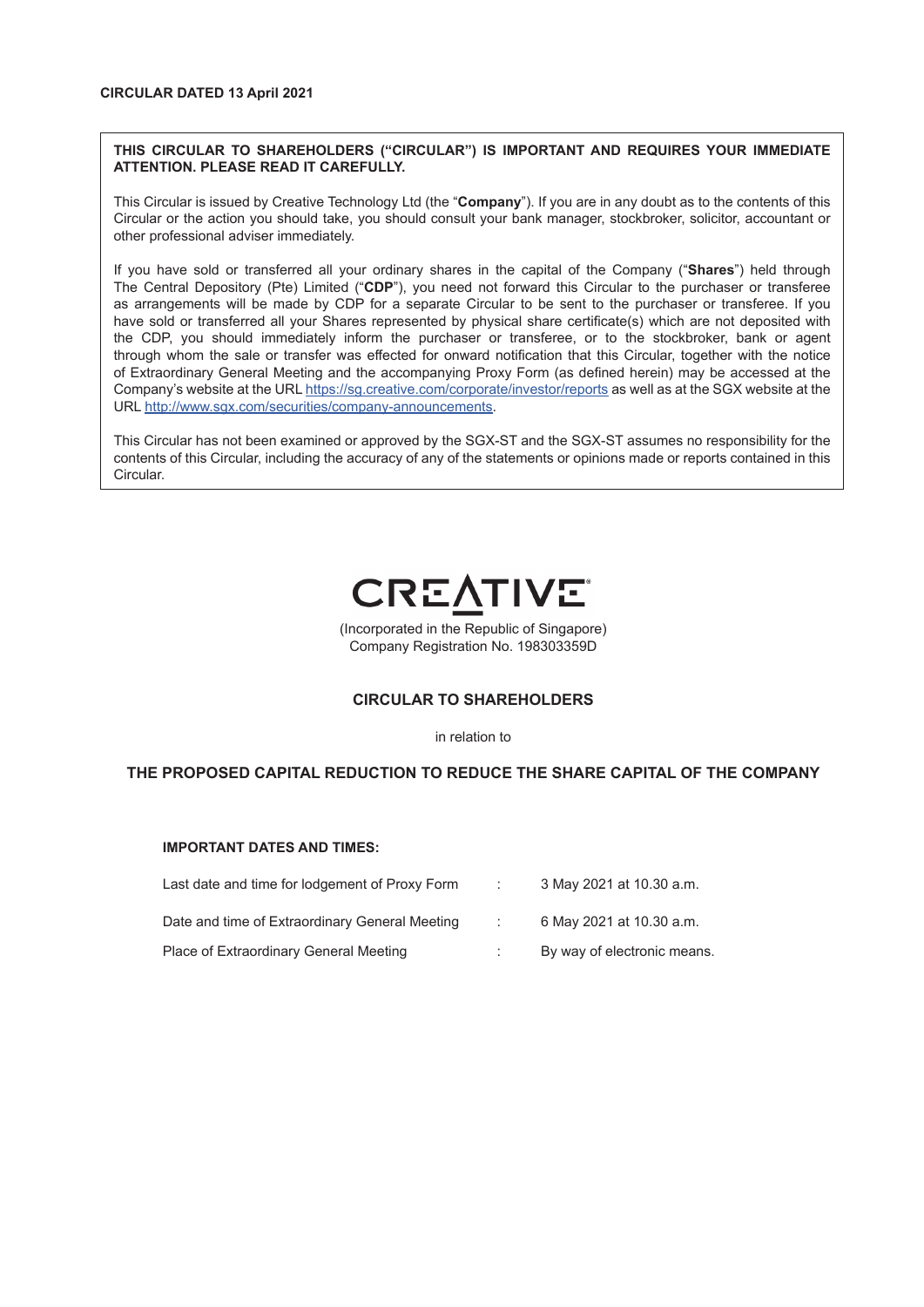## **THIS CIRCULAR TO SHAREHOLDERS ("CIRCULAR") IS IMPORTANT AND REQUIRES YOUR IMMEDIATE ATTENTION. PLEASE READ IT CAREFULLY.**

This Circular is issued by Creative Technology Ltd (the "**Company**"). If you are in any doubt as to the contents of this Circular or the action you should take, you should consult your bank manager, stockbroker, solicitor, accountant or other professional adviser immediately.

If you have sold or transferred all your ordinary shares in the capital of the Company ("**Shares**") held through The Central Depository (Pte) Limited ("**CDP**"), you need not forward this Circular to the purchaser or transferee as arrangements will be made by CDP for a separate Circular to be sent to the purchaser or transferee. If you have sold or transferred all your Shares represented by physical share certificate(s) which are not deposited with the CDP, you should immediately inform the purchaser or transferee, or to the stockbroker, bank or agent through whom the sale or transfer was effected for onward notification that this Circular, together with the notice of Extraordinary General Meeting and the accompanying Proxy Form (as defined herein) may be accessed at the Company's website at the URL https://sg.creative.com/corporate/investor/reports as well as at the SGX website at the URL http://www.sgx.com/securities/company-announcements.

This Circular has not been examined or approved by the SGX-ST and the SGX-ST assumes no responsibility for the contents of this Circular, including the accuracy of any of the statements or opinions made or reports contained in this Circular.



(Incorporated in the Republic of Singapore) Company Registration No. 198303359D

# **CIRCULAR TO SHAREHOLDERS**

in relation to

# **THE PROPOSED CAPITAL REDUCTION TO REDUCE THE SHARE CAPITAL OF THE COMPANY**

#### **IMPORTANT DATES AND TIMES:**

| Last date and time for lodgement of Proxy Form | 3 May 2021 at 10.30 a.m.    |
|------------------------------------------------|-----------------------------|
| Date and time of Extraordinary General Meeting | 6 May 2021 at 10.30 a.m.    |
| Place of Extraordinary General Meeting         | By way of electronic means. |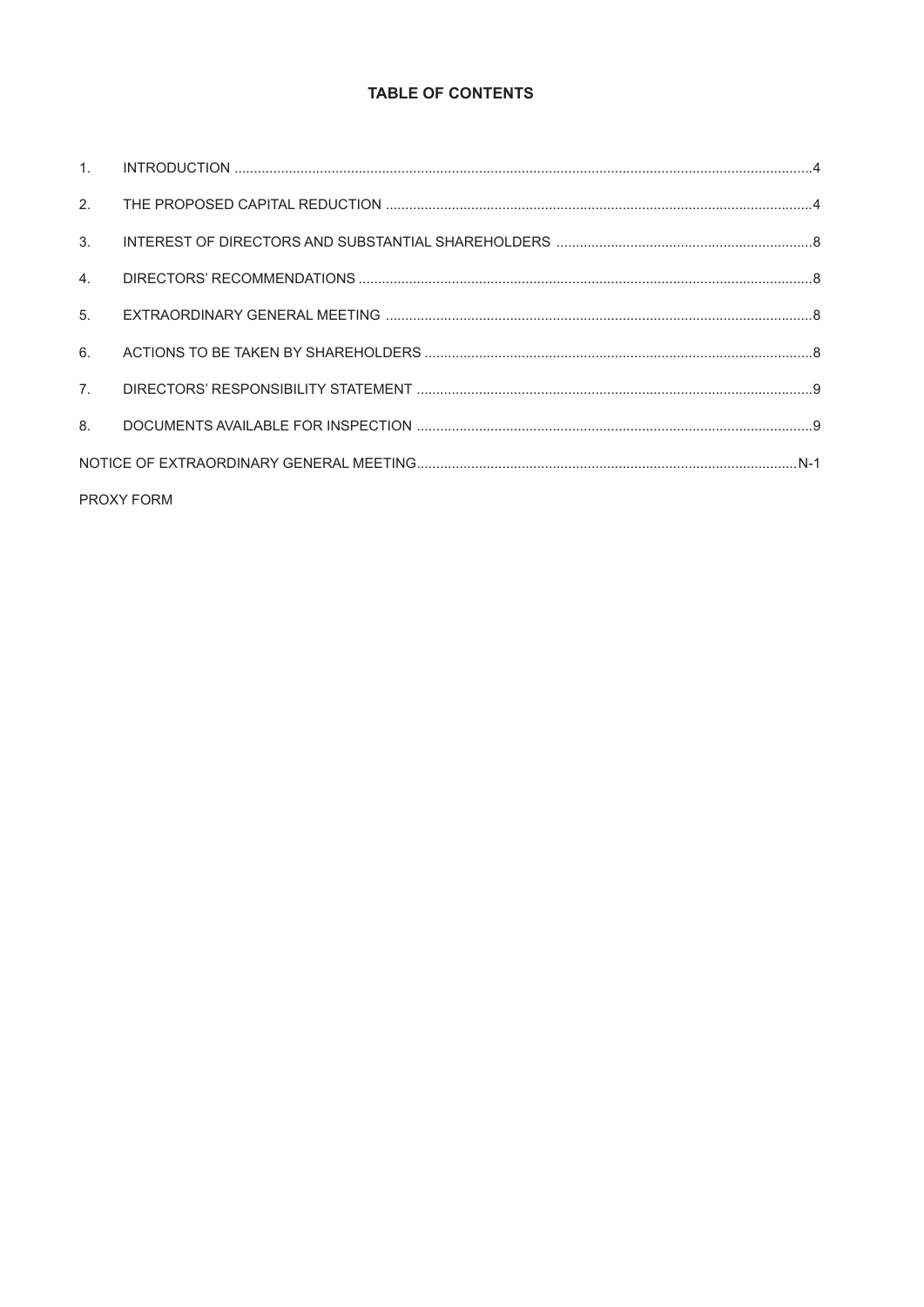# **TABLE OF CONTENTS**

| 2.             |                   |  |
|----------------|-------------------|--|
| 3.             |                   |  |
| 4.             |                   |  |
| 5 <sub>1</sub> |                   |  |
| 6.             |                   |  |
| 7 <sup>1</sup> |                   |  |
| 8 <sub>1</sub> |                   |  |
|                |                   |  |
|                | <b>PROXY FORM</b> |  |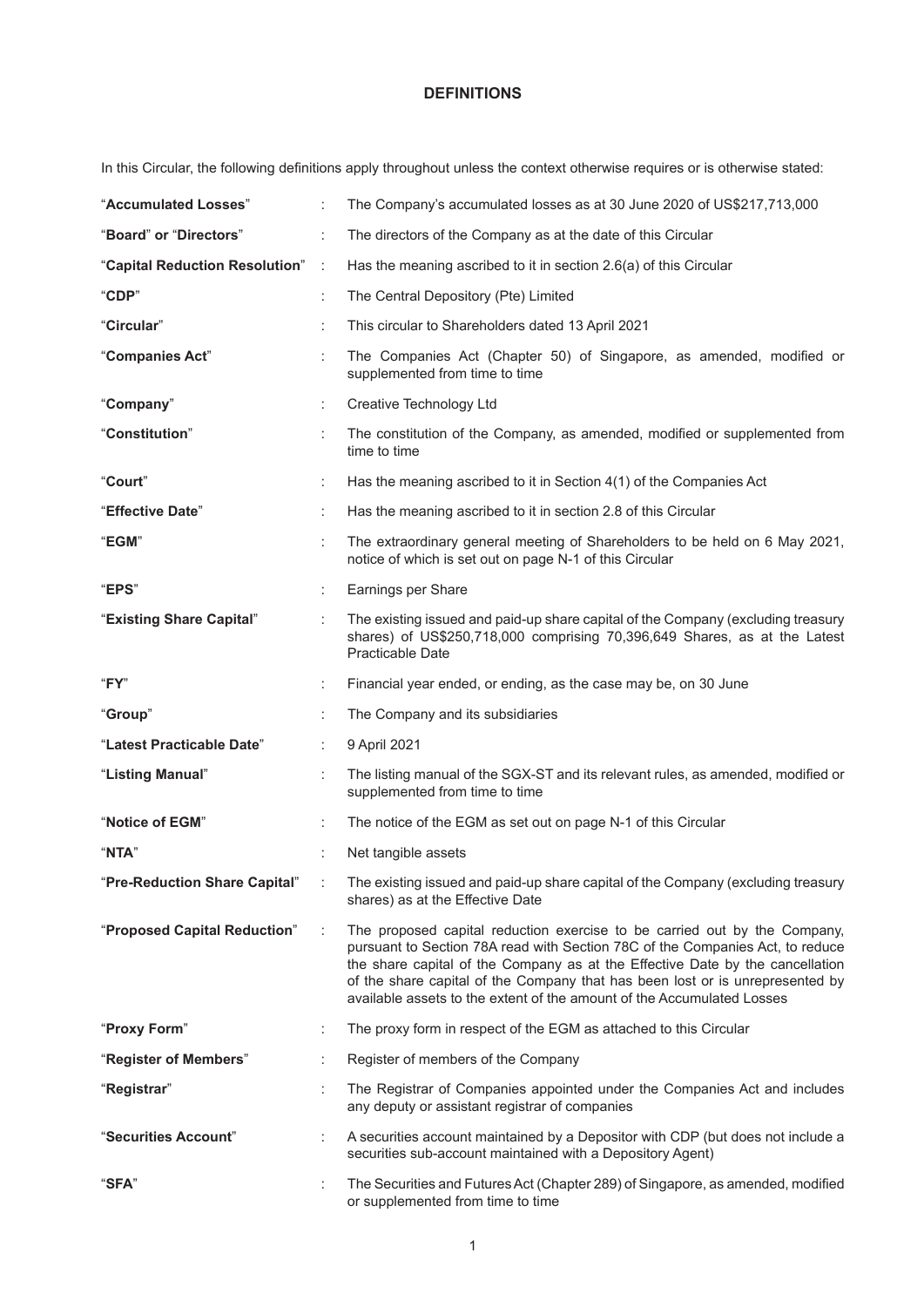# **DEFINITIONS**

In this Circular, the following definitions apply throughout unless the context otherwise requires or is otherwise stated:

| "Accumulated Losses"           |           | The Company's accumulated losses as at 30 June 2020 of US\$217,713,000                                                                                                                                                                                                                                                                                                                                 |
|--------------------------------|-----------|--------------------------------------------------------------------------------------------------------------------------------------------------------------------------------------------------------------------------------------------------------------------------------------------------------------------------------------------------------------------------------------------------------|
| "Board" or "Directors"         | ÷         | The directors of the Company as at the date of this Circular                                                                                                                                                                                                                                                                                                                                           |
| "Capital Reduction Resolution" | $\sim$ 1. | Has the meaning ascribed to it in section 2.6(a) of this Circular                                                                                                                                                                                                                                                                                                                                      |
| "CDP"                          | t         | The Central Depository (Pte) Limited                                                                                                                                                                                                                                                                                                                                                                   |
| "Circular"                     |           | This circular to Shareholders dated 13 April 2021                                                                                                                                                                                                                                                                                                                                                      |
| "Companies Act"                |           | The Companies Act (Chapter 50) of Singapore, as amended, modified or<br>supplemented from time to time                                                                                                                                                                                                                                                                                                 |
| "Company"                      | ÷         | Creative Technology Ltd                                                                                                                                                                                                                                                                                                                                                                                |
| "Constitution"                 |           | The constitution of the Company, as amended, modified or supplemented from<br>time to time                                                                                                                                                                                                                                                                                                             |
| "Court"                        | ÷         | Has the meaning ascribed to it in Section 4(1) of the Companies Act                                                                                                                                                                                                                                                                                                                                    |
| "Effective Date"               | ÷         | Has the meaning ascribed to it in section 2.8 of this Circular                                                                                                                                                                                                                                                                                                                                         |
| "EGM"                          |           | The extraordinary general meeting of Shareholders to be held on 6 May 2021,<br>notice of which is set out on page N-1 of this Circular                                                                                                                                                                                                                                                                 |
| "EPS"                          | ÷         | Earnings per Share                                                                                                                                                                                                                                                                                                                                                                                     |
| "Existing Share Capital"       |           | The existing issued and paid-up share capital of the Company (excluding treasury<br>shares) of US\$250,718,000 comprising 70,396,649 Shares, as at the Latest<br><b>Practicable Date</b>                                                                                                                                                                                                               |
| "FY"                           | ÷         | Financial year ended, or ending, as the case may be, on 30 June                                                                                                                                                                                                                                                                                                                                        |
|                                | ÷         | The Company and its subsidiaries                                                                                                                                                                                                                                                                                                                                                                       |
| "Group"                        |           |                                                                                                                                                                                                                                                                                                                                                                                                        |
| "Latest Practicable Date"      |           | 9 April 2021                                                                                                                                                                                                                                                                                                                                                                                           |
| "Listing Manual"               |           | The listing manual of the SGX-ST and its relevant rules, as amended, modified or<br>supplemented from time to time                                                                                                                                                                                                                                                                                     |
| "Notice of EGM"                |           | The notice of the EGM as set out on page N-1 of this Circular                                                                                                                                                                                                                                                                                                                                          |
| "NTA"                          |           | Net tangible assets                                                                                                                                                                                                                                                                                                                                                                                    |
| "Pre-Reduction Share Capital"  |           | The existing issued and paid-up share capital of the Company (excluding treasury<br>shares) as at the Effective Date                                                                                                                                                                                                                                                                                   |
| "Proposed Capital Reduction"   |           | The proposed capital reduction exercise to be carried out by the Company,<br>pursuant to Section 78A read with Section 78C of the Companies Act, to reduce<br>the share capital of the Company as at the Effective Date by the cancellation<br>of the share capital of the Company that has been lost or is unrepresented by<br>available assets to the extent of the amount of the Accumulated Losses |
| "Proxy Form"                   | ÷         | The proxy form in respect of the EGM as attached to this Circular                                                                                                                                                                                                                                                                                                                                      |
| "Register of Members"          |           | Register of members of the Company                                                                                                                                                                                                                                                                                                                                                                     |
| "Registrar"                    |           | The Registrar of Companies appointed under the Companies Act and includes<br>any deputy or assistant registrar of companies                                                                                                                                                                                                                                                                            |
| "Securities Account"           |           | A securities account maintained by a Depositor with CDP (but does not include a<br>securities sub-account maintained with a Depository Agent)                                                                                                                                                                                                                                                          |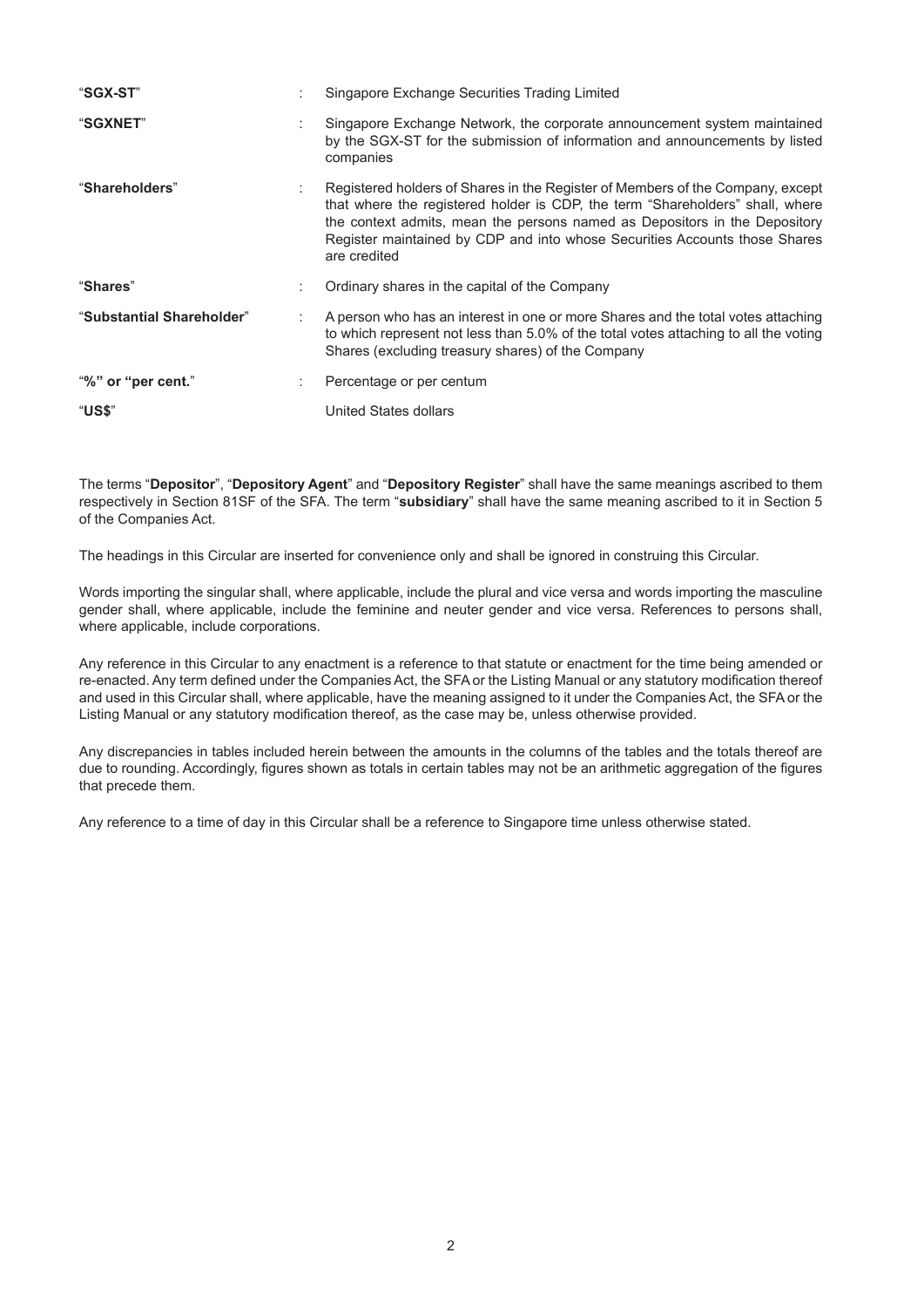| "SGX-ST"                  |   | Singapore Exchange Securities Trading Limited                                                                                                                                                                                                                                                                                               |
|---------------------------|---|---------------------------------------------------------------------------------------------------------------------------------------------------------------------------------------------------------------------------------------------------------------------------------------------------------------------------------------------|
| "SGXNET"                  | ٠ | Singapore Exchange Network, the corporate announcement system maintained<br>by the SGX-ST for the submission of information and announcements by listed<br>companies                                                                                                                                                                        |
| "Shareholders"            |   | Registered holders of Shares in the Register of Members of the Company, except<br>that where the registered holder is CDP, the term "Shareholders" shall, where<br>the context admits, mean the persons named as Depositors in the Depository<br>Register maintained by CDP and into whose Securities Accounts those Shares<br>are credited |
| "Shares"                  |   | Ordinary shares in the capital of the Company                                                                                                                                                                                                                                                                                               |
| "Substantial Shareholder" |   | A person who has an interest in one or more Shares and the total votes attaching<br>to which represent not less than 5.0% of the total votes attaching to all the voting<br>Shares (excluding treasury shares) of the Company                                                                                                               |
| "%" or "per cent."        |   | Percentage or per centum                                                                                                                                                                                                                                                                                                                    |
| "US\$"                    |   | United States dollars                                                                                                                                                                                                                                                                                                                       |

The terms "**Depositor**", "**Depository Agent**" and "**Depository Register**" shall have the same meanings ascribed to them respectively in Section 81SF of the SFA. The term "**subsidiary**" shall have the same meaning ascribed to it in Section 5 of the Companies Act.

The headings in this Circular are inserted for convenience only and shall be ignored in construing this Circular.

Words importing the singular shall, where applicable, include the plural and vice versa and words importing the masculine gender shall, where applicable, include the feminine and neuter gender and vice versa. References to persons shall, where applicable, include corporations.

Any reference in this Circular to any enactment is a reference to that statute or enactment for the time being amended or re-enacted. Any term defined under the Companies Act, the SFA or the Listing Manual or any statutory modification thereof and used in this Circular shall, where applicable, have the meaning assigned to it under the Companies Act, the SFA or the Listing Manual or any statutory modification thereof, as the case may be, unless otherwise provided.

Any discrepancies in tables included herein between the amounts in the columns of the tables and the totals thereof are due to rounding. Accordingly, figures shown as totals in certain tables may not be an arithmetic aggregation of the figures that precede them.

Any reference to a time of day in this Circular shall be a reference to Singapore time unless otherwise stated.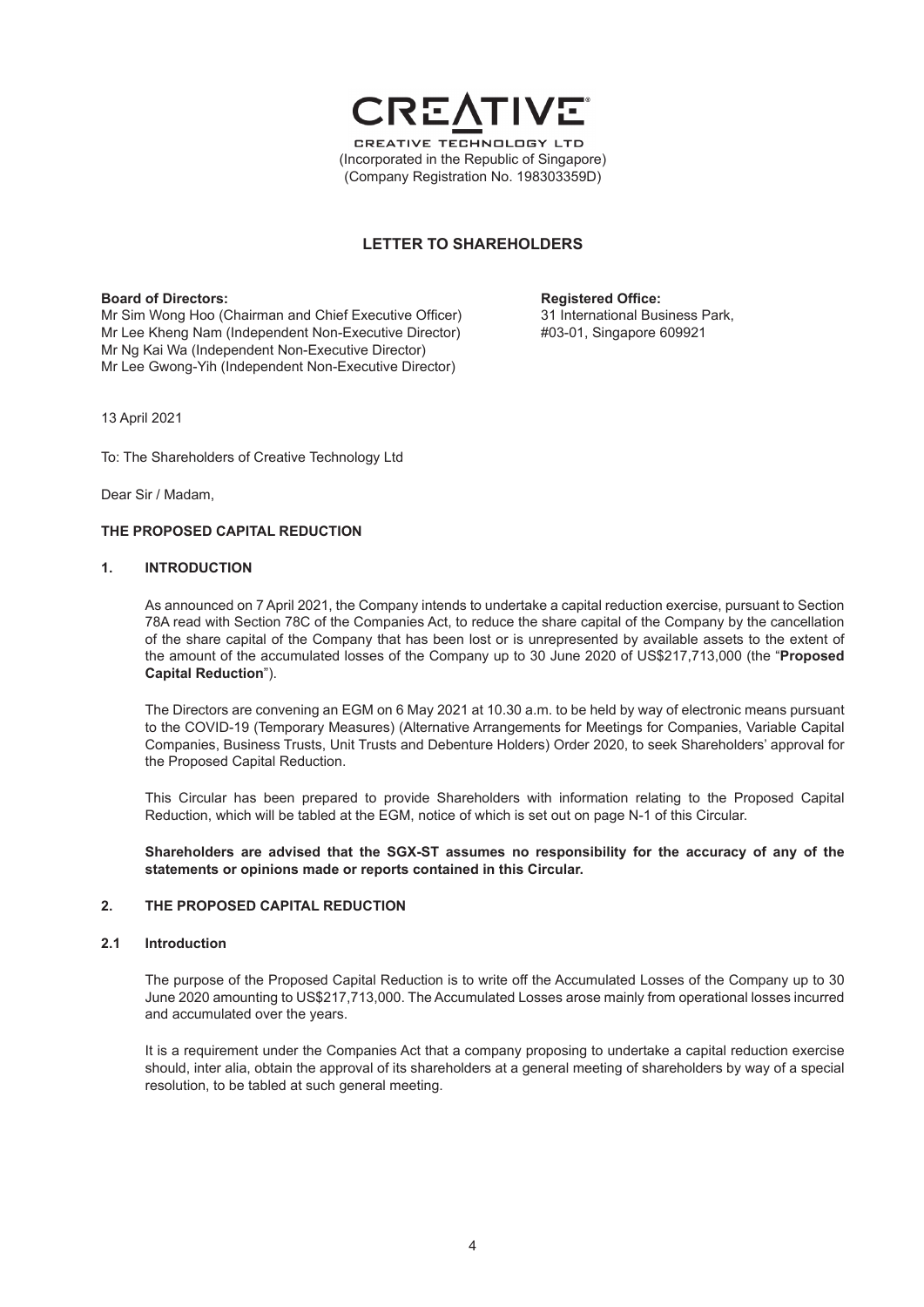

# **LETTER TO SHAREHOLDERS**

**Board of Directors: Registered Office: Registered Office: Registered Office: Registered Office: Registered Office: Registered Office: Registered Office: Registered Office: Registered Office: Registered** Mr Sim Wong Hoo (Chairman and Chief Executive Officer) 31 International Business Park Lee Kheng Nam (Independent Non-Executive Director) #03-01, Singapore 609921 Mr Lee Kheng Nam (Independent Non-Executive Director) Mr Ng Kai Wa (Independent Non-Executive Director) Mr Lee Gwong-Yih (Independent Non-Executive Director)

13 April 2021

To: The Shareholders of Creative Technology Ltd

Dear Sir / Madam,

#### **THE PROPOSED CAPITAL REDUCTION**

#### **1. INTRODUCTION**

As announced on 7 April 2021, the Company intends to undertake a capital reduction exercise, pursuant to Section 78A read with Section 78C of the Companies Act, to reduce the share capital of the Company by the cancellation of the share capital of the Company that has been lost or is unrepresented by available assets to the extent of the amount of the accumulated losses of the Company up to 30 June 2020 of US\$217,713,000 (the "**Proposed Capital Reduction**").

The Directors are convening an EGM on 6 May 2021 at 10.30 a.m. to be held by way of electronic means pursuant to the COVID-19 (Temporary Measures) (Alternative Arrangements for Meetings for Companies, Variable Capital Companies, Business Trusts, Unit Trusts and Debenture Holders) Order 2020, to seek Shareholders' approval for the Proposed Capital Reduction.

This Circular has been prepared to provide Shareholders with information relating to the Proposed Capital Reduction, which will be tabled at the EGM, notice of which is set out on page N-1 of this Circular.

**Shareholders are advised that the SGX-ST assumes no responsibility for the accuracy of any of the statements or opinions made or reports contained in this Circular.**

#### **2. THE PROPOSED CAPITAL REDUCTION**

#### **2.1 Introduction**

The purpose of the Proposed Capital Reduction is to write off the Accumulated Losses of the Company up to 30 June 2020 amounting to US\$217,713,000. The Accumulated Losses arose mainly from operational losses incurred and accumulated over the years.

It is a requirement under the Companies Act that a company proposing to undertake a capital reduction exercise should, inter alia, obtain the approval of its shareholders at a general meeting of shareholders by way of a special resolution, to be tabled at such general meeting.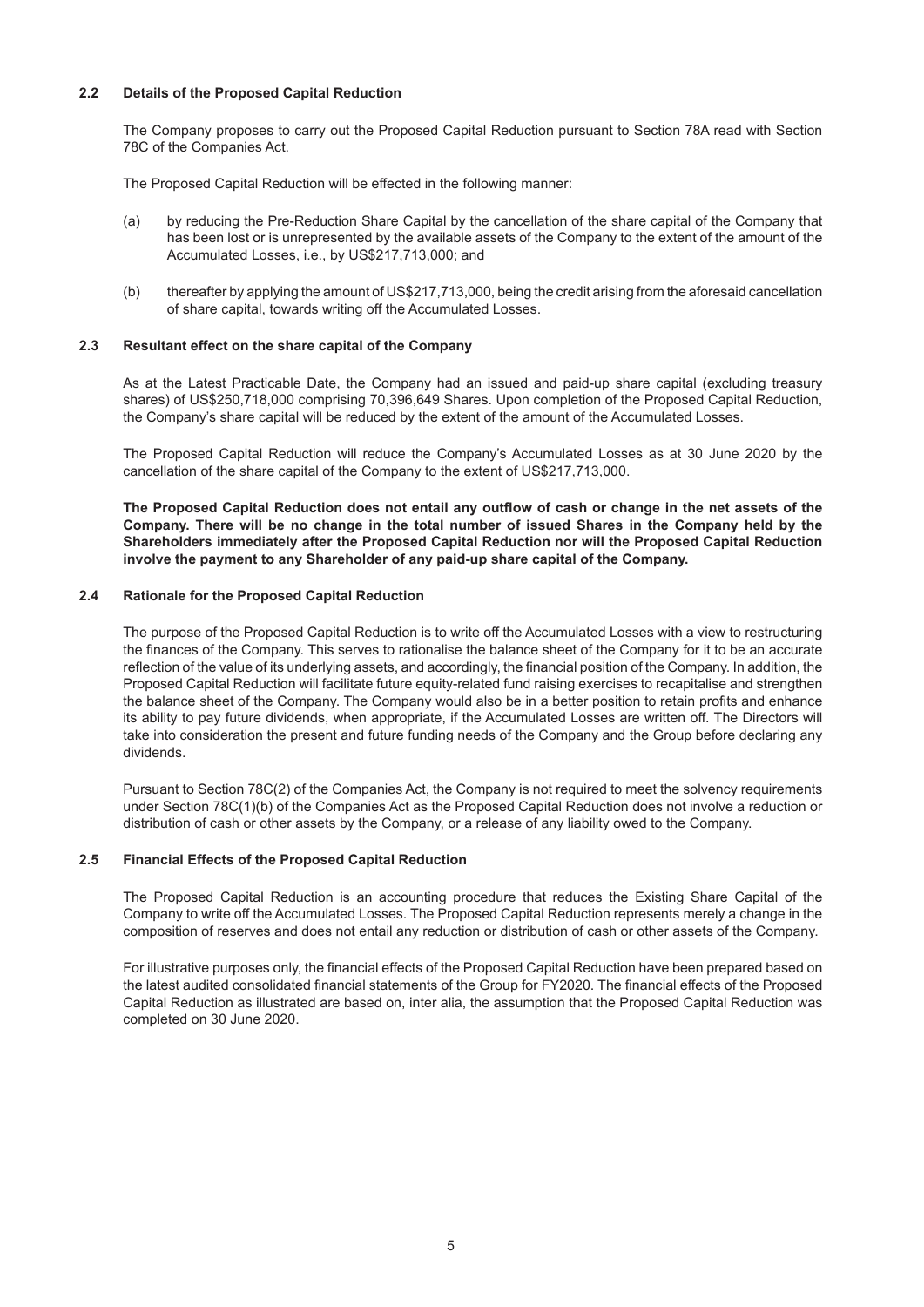## **2.2 Details of the Proposed Capital Reduction**

The Company proposes to carry out the Proposed Capital Reduction pursuant to Section 78A read with Section 78C of the Companies Act.

The Proposed Capital Reduction will be effected in the following manner:

- (a) by reducing the Pre-Reduction Share Capital by the cancellation of the share capital of the Company that has been lost or is unrepresented by the available assets of the Company to the extent of the amount of the Accumulated Losses, i.e., by US\$217,713,000; and
- (b) thereafter by applying the amount of US\$217,713,000, being the credit arising from the aforesaid cancellation of share capital, towards writing off the Accumulated Losses.

#### **2.3 Resultant effect on the share capital of the Company**

As at the Latest Practicable Date, the Company had an issued and paid-up share capital (excluding treasury shares) of US\$250,718,000 comprising 70,396,649 Shares. Upon completion of the Proposed Capital Reduction, the Company's share capital will be reduced by the extent of the amount of the Accumulated Losses.

The Proposed Capital Reduction will reduce the Company's Accumulated Losses as at 30 June 2020 by the cancellation of the share capital of the Company to the extent of US\$217,713,000.

**The Proposed Capital Reduction does not entail any outflow of cash or change in the net assets of the Company. There will be no change in the total number of issued Shares in the Company held by the Shareholders immediately after the Proposed Capital Reduction nor will the Proposed Capital Reduction involve the payment to any Shareholder of any paid-up share capital of the Company.**

#### **2.4 Rationale for the Proposed Capital Reduction**

The purpose of the Proposed Capital Reduction is to write off the Accumulated Losses with a view to restructuring the finances of the Company. This serves to rationalise the balance sheet of the Company for it to be an accurate reflection of the value of its underlying assets, and accordingly, the financial position of the Company. In addition, the Proposed Capital Reduction will facilitate future equity-related fund raising exercises to recapitalise and strengthen the balance sheet of the Company. The Company would also be in a better position to retain profits and enhance its ability to pay future dividends, when appropriate, if the Accumulated Losses are written off. The Directors will take into consideration the present and future funding needs of the Company and the Group before declaring any dividends.

Pursuant to Section 78C(2) of the Companies Act, the Company is not required to meet the solvency requirements under Section 78C(1)(b) of the Companies Act as the Proposed Capital Reduction does not involve a reduction or distribution of cash or other assets by the Company, or a release of any liability owed to the Company.

#### **2.5 Financial Effects of the Proposed Capital Reduction**

The Proposed Capital Reduction is an accounting procedure that reduces the Existing Share Capital of the Company to write off the Accumulated Losses. The Proposed Capital Reduction represents merely a change in the composition of reserves and does not entail any reduction or distribution of cash or other assets of the Company.

For illustrative purposes only, the financial effects of the Proposed Capital Reduction have been prepared based on the latest audited consolidated financial statements of the Group for FY2020. The financial effects of the Proposed Capital Reduction as illustrated are based on, inter alia, the assumption that the Proposed Capital Reduction was completed on 30 June 2020.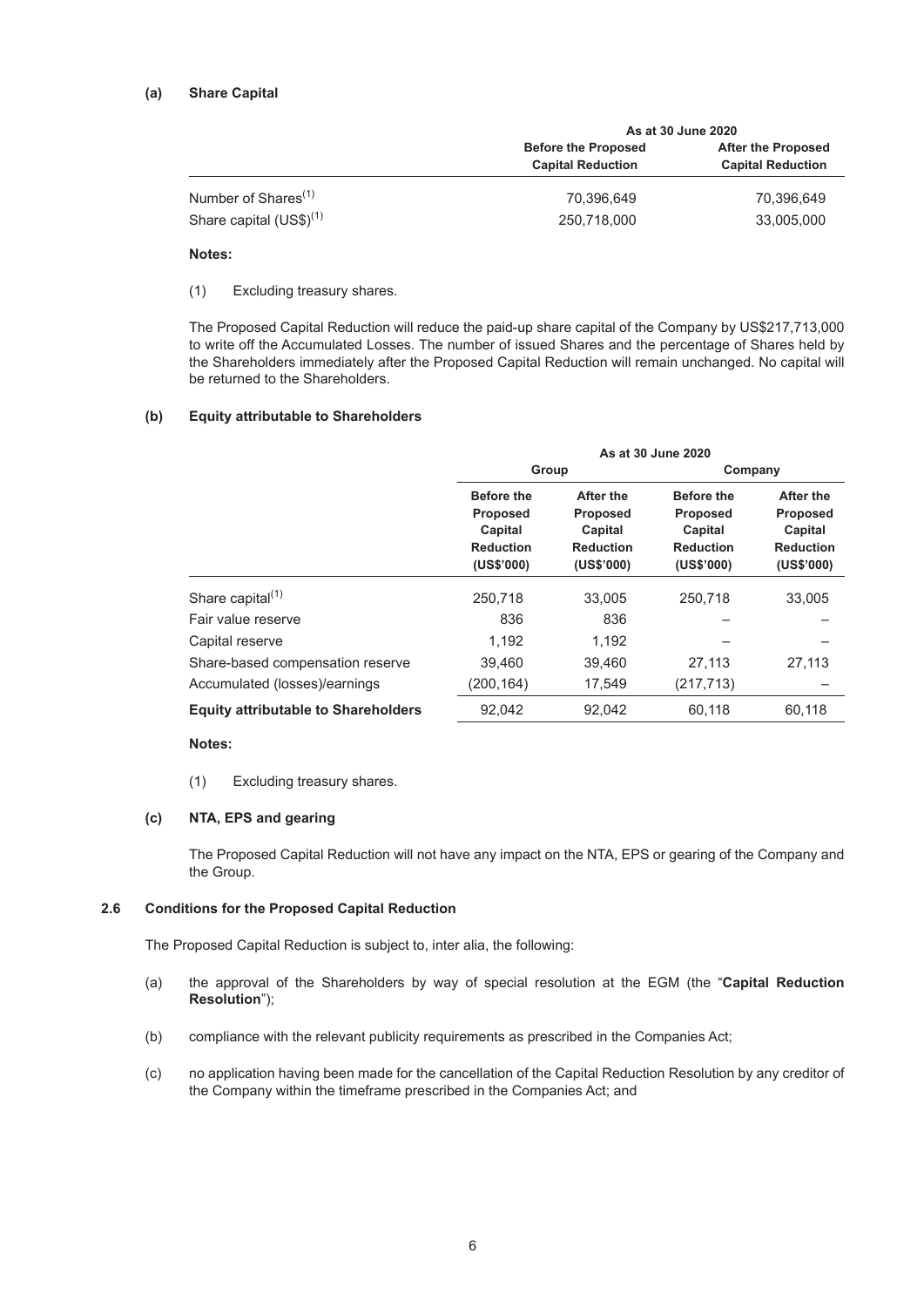|                                 | As at 30 June 2020                                     |                                                       |  |
|---------------------------------|--------------------------------------------------------|-------------------------------------------------------|--|
|                                 | <b>Before the Proposed</b><br><b>Capital Reduction</b> | <b>After the Proposed</b><br><b>Capital Reduction</b> |  |
| Number of Shares <sup>(1)</sup> | 70.396.649                                             | 70.396.649                                            |  |
| Share capital $(US$)^{(1)}$     | 250,718,000                                            | 33,005,000                                            |  |

#### **Notes:**

(1) Excluding treasury shares.

The Proposed Capital Reduction will reduce the paid-up share capital of the Company by US\$217,713,000 to write off the Accumulated Losses. The number of issued Shares and the percentage of Shares held by the Shareholders immediately after the Proposed Capital Reduction will remain unchanged. No capital will be returned to the Shareholders.

#### **(b) Equity attributable to Shareholders**

|                                            | As at 30 June 2020                                                         |                                                                    |                                                                            |                                                                           |  |
|--------------------------------------------|----------------------------------------------------------------------------|--------------------------------------------------------------------|----------------------------------------------------------------------------|---------------------------------------------------------------------------|--|
|                                            | Group                                                                      |                                                                    | Company                                                                    |                                                                           |  |
|                                            | <b>Before the</b><br>Proposed<br>Capital<br><b>Reduction</b><br>(US\$'000) | After the<br>Proposed<br>Capital<br><b>Reduction</b><br>(US\$'000) | <b>Before the</b><br>Proposed<br>Capital<br><b>Reduction</b><br>(US\$'000) | After the<br><b>Proposed</b><br>Capital<br><b>Reduction</b><br>(US\$'000) |  |
| Share capital <sup>(1)</sup>               | 250.718                                                                    | 33.005                                                             | 250.718                                                                    | 33.005                                                                    |  |
| Fair value reserve                         | 836                                                                        | 836                                                                |                                                                            |                                                                           |  |
| Capital reserve                            | 1.192                                                                      | 1,192                                                              |                                                                            |                                                                           |  |
| Share-based compensation reserve           | 39.460                                                                     | 39,460                                                             | 27,113                                                                     | 27,113                                                                    |  |
| Accumulated (losses)/earnings              | (200,164)                                                                  | 17,549                                                             | (217, 713)                                                                 |                                                                           |  |
| <b>Equity attributable to Shareholders</b> | 92.042                                                                     | 92.042                                                             | 60.118                                                                     | 60.118                                                                    |  |
|                                            |                                                                            |                                                                    |                                                                            |                                                                           |  |

#### **Notes:**

(1) Excluding treasury shares.

#### **(c) NTA, EPS and gearing**

The Proposed Capital Reduction will not have any impact on the NTA, EPS or gearing of the Company and the Group.

## **2.6 Conditions for the Proposed Capital Reduction**

The Proposed Capital Reduction is subject to, inter alia, the following:

- (a) the approval of the Shareholders by way of special resolution at the EGM (the "**Capital Reduction Resolution**");
- (b) compliance with the relevant publicity requirements as prescribed in the Companies Act;
- (c) no application having been made for the cancellation of the Capital Reduction Resolution by any creditor of the Company within the timeframe prescribed in the Companies Act; and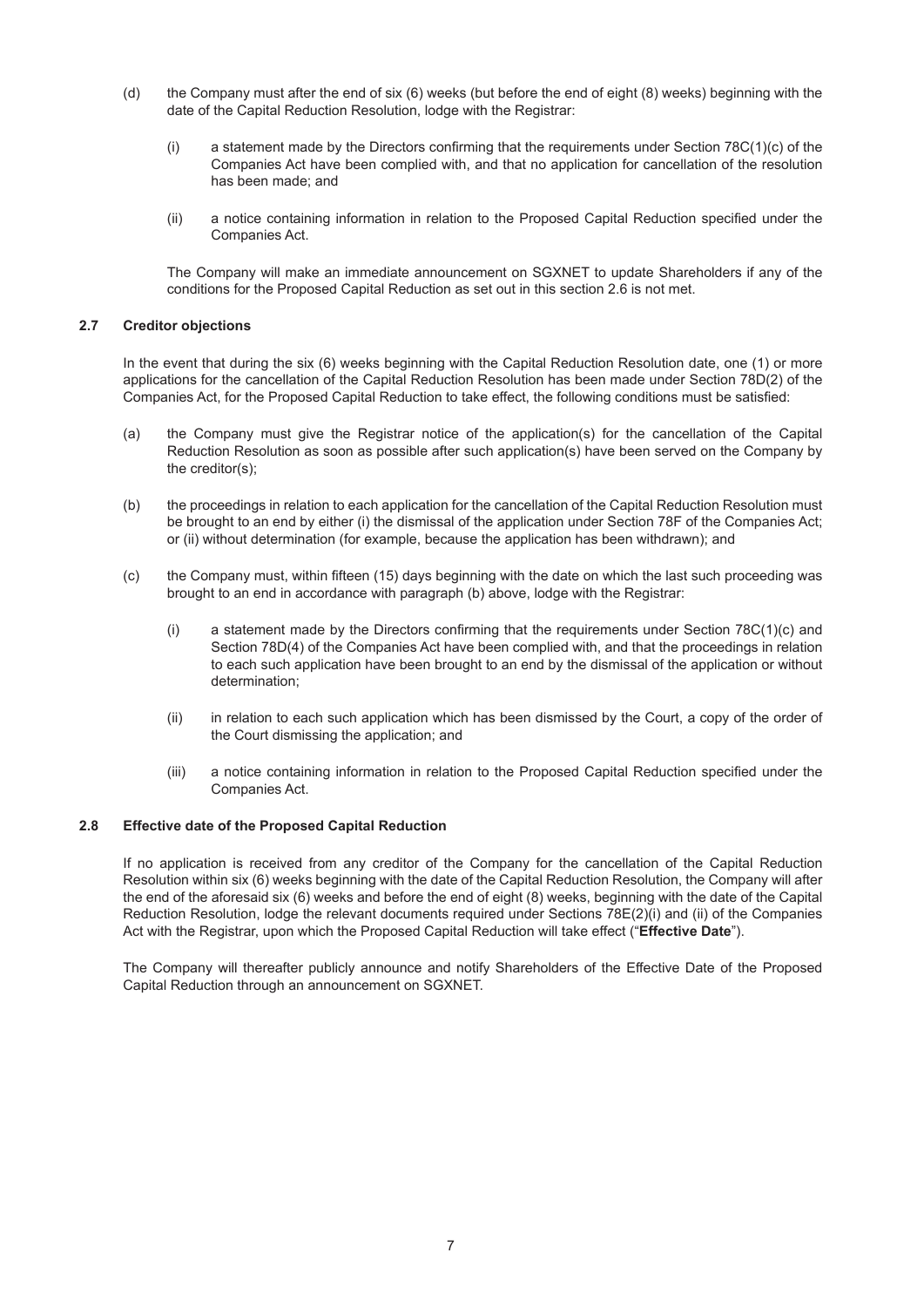- (d) the Company must after the end of six (6) weeks (but before the end of eight (8) weeks) beginning with the date of the Capital Reduction Resolution, lodge with the Registrar:
	- (i) a statement made by the Directors confirming that the requirements under Section  $78C(1)(c)$  of the Companies Act have been complied with, and that no application for cancellation of the resolution has been made; and
	- (ii) a notice containing information in relation to the Proposed Capital Reduction specified under the Companies Act.

The Company will make an immediate announcement on SGXNET to update Shareholders if any of the conditions for the Proposed Capital Reduction as set out in this section 2.6 is not met.

## **2.7 Creditor objections**

In the event that during the six (6) weeks beginning with the Capital Reduction Resolution date, one (1) or more applications for the cancellation of the Capital Reduction Resolution has been made under Section 78D(2) of the Companies Act, for the Proposed Capital Reduction to take effect, the following conditions must be satisfied:

- (a) the Company must give the Registrar notice of the application(s) for the cancellation of the Capital Reduction Resolution as soon as possible after such application(s) have been served on the Company by the creditor(s);
- (b) the proceedings in relation to each application for the cancellation of the Capital Reduction Resolution must be brought to an end by either (i) the dismissal of the application under Section 78F of the Companies Act; or (ii) without determination (for example, because the application has been withdrawn); and
- (c) the Company must, within fifteen (15) days beginning with the date on which the last such proceeding was brought to an end in accordance with paragraph (b) above, lodge with the Registrar:
	- (i) a statement made by the Directors confirming that the requirements under Section 78C(1)(c) and Section 78D(4) of the Companies Act have been complied with, and that the proceedings in relation to each such application have been brought to an end by the dismissal of the application or without determination;
	- (ii) in relation to each such application which has been dismissed by the Court, a copy of the order of the Court dismissing the application; and
	- (iii) a notice containing information in relation to the Proposed Capital Reduction specified under the Companies Act.

#### **2.8 Effective date of the Proposed Capital Reduction**

If no application is received from any creditor of the Company for the cancellation of the Capital Reduction Resolution within six (6) weeks beginning with the date of the Capital Reduction Resolution, the Company will after the end of the aforesaid six (6) weeks and before the end of eight (8) weeks, beginning with the date of the Capital Reduction Resolution, lodge the relevant documents required under Sections 78E(2)(i) and (ii) of the Companies Act with the Registrar, upon which the Proposed Capital Reduction will take effect ("**Effective Date**").

The Company will thereafter publicly announce and notify Shareholders of the Effective Date of the Proposed Capital Reduction through an announcement on SGXNET.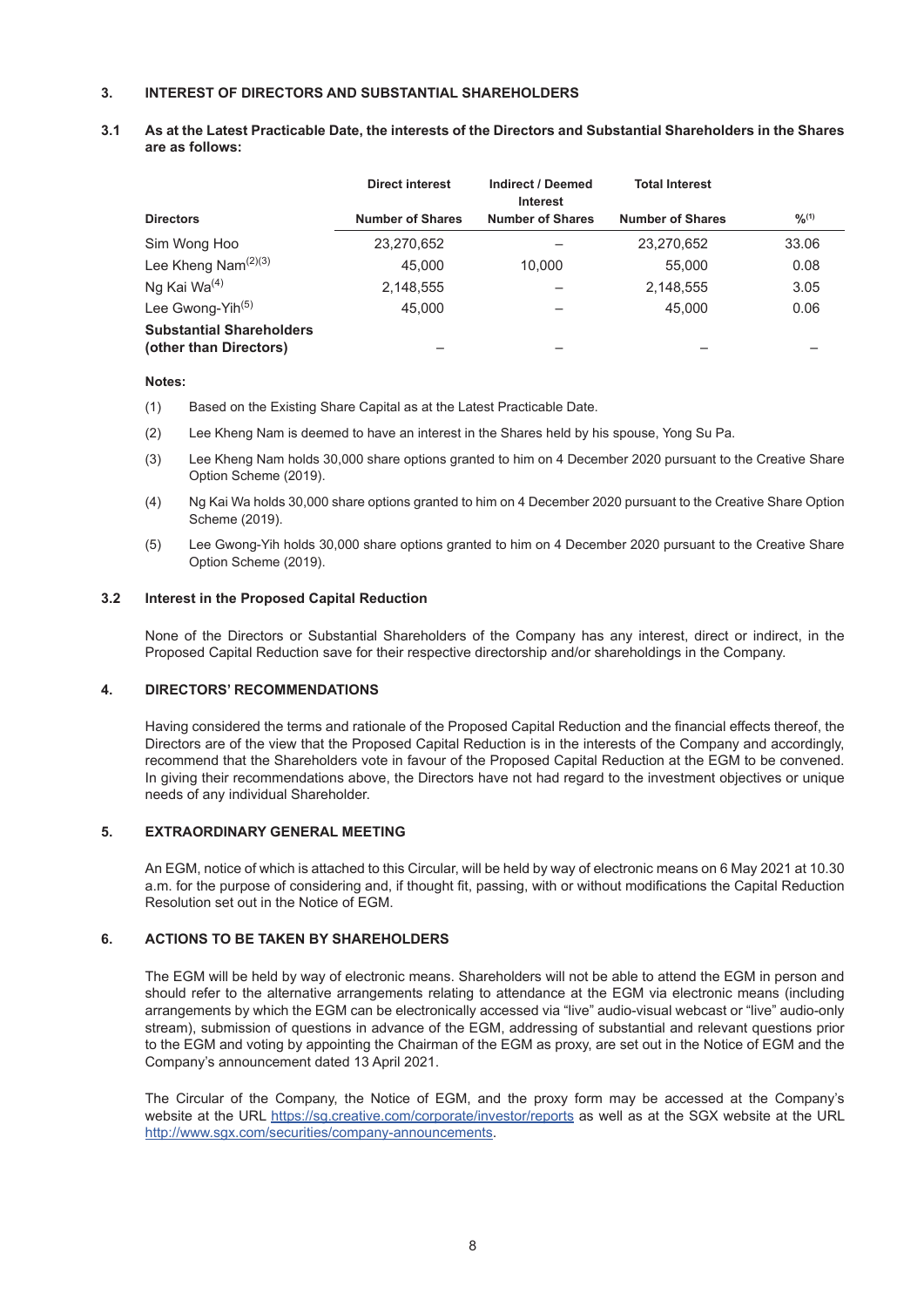## **3. INTEREST OF DIRECTORS AND SUBSTANTIAL SHAREHOLDERS**

#### **3.1 As at the Latest Practicable Date, the interests of the Directors and Substantial Shareholders in the Shares are as follows:**

|                                                           | <b>Direct interest</b>  | Indirect / Deemed<br><b>Interest</b> | <b>Total Interest</b>   |             |
|-----------------------------------------------------------|-------------------------|--------------------------------------|-------------------------|-------------|
| <b>Directors</b>                                          | <b>Number of Shares</b> | <b>Number of Shares</b>              | <b>Number of Shares</b> | $9/0^{(1)}$ |
| Sim Wong Hoo                                              | 23,270,652              |                                      | 23,270,652              | 33.06       |
| Lee Kheng Nam $(2)(3)$                                    | 45.000                  | 10.000                               | 55,000                  | 0.08        |
| Ng Kai Wa <sup>(4)</sup>                                  | 2,148,555               |                                      | 2,148,555               | 3.05        |
| Lee Gwong-Yih <sup>(5)</sup>                              | 45.000                  |                                      | 45,000                  | 0.06        |
| <b>Substantial Shareholders</b><br>(other than Directors) |                         |                                      |                         |             |

#### **Notes:**

- (1) Based on the Existing Share Capital as at the Latest Practicable Date.
- (2) Lee Kheng Nam is deemed to have an interest in the Shares held by his spouse, Yong Su Pa.
- (3) Lee Kheng Nam holds 30,000 share options granted to him on 4 December 2020 pursuant to the Creative Share Option Scheme (2019).
- (4) Ng Kai Wa holds 30,000 share options granted to him on 4 December 2020 pursuant to the Creative Share Option Scheme (2019).
- (5) Lee Gwong-Yih holds 30,000 share options granted to him on 4 December 2020 pursuant to the Creative Share Option Scheme (2019).

#### **3.2 Interest in the Proposed Capital Reduction**

None of the Directors or Substantial Shareholders of the Company has any interest, direct or indirect, in the Proposed Capital Reduction save for their respective directorship and/or shareholdings in the Company.

## **4. DIRECTORS' RECOMMENDATIONS**

Having considered the terms and rationale of the Proposed Capital Reduction and the financial effects thereof, the Directors are of the view that the Proposed Capital Reduction is in the interests of the Company and accordingly, recommend that the Shareholders vote in favour of the Proposed Capital Reduction at the EGM to be convened. In giving their recommendations above, the Directors have not had regard to the investment objectives or unique needs of any individual Shareholder.

## **5. EXTRAORDINARY GENERAL MEETING**

An EGM, notice of which is attached to this Circular, will be held by way of electronic means on 6 May 2021 at 10.30 a.m. for the purpose of considering and, if thought fit, passing, with or without modifications the Capital Reduction Resolution set out in the Notice of EGM.

## **6. ACTIONS TO BE TAKEN BY SHAREHOLDERS**

The EGM will be held by way of electronic means. Shareholders will not be able to attend the EGM in person and should refer to the alternative arrangements relating to attendance at the EGM via electronic means (including arrangements by which the EGM can be electronically accessed via "live" audio-visual webcast or "live" audio-only stream), submission of questions in advance of the EGM, addressing of substantial and relevant questions prior to the EGM and voting by appointing the Chairman of the EGM as proxy, are set out in the Notice of EGM and the Company's announcement dated 13 April 2021.

The Circular of the Company, the Notice of EGM, and the proxy form may be accessed at the Company's website at the URL https://sg.creative.com/corporate/investor/reports as well as at the SGX website at the URL http://www.sgx.com/securities/company-announcements.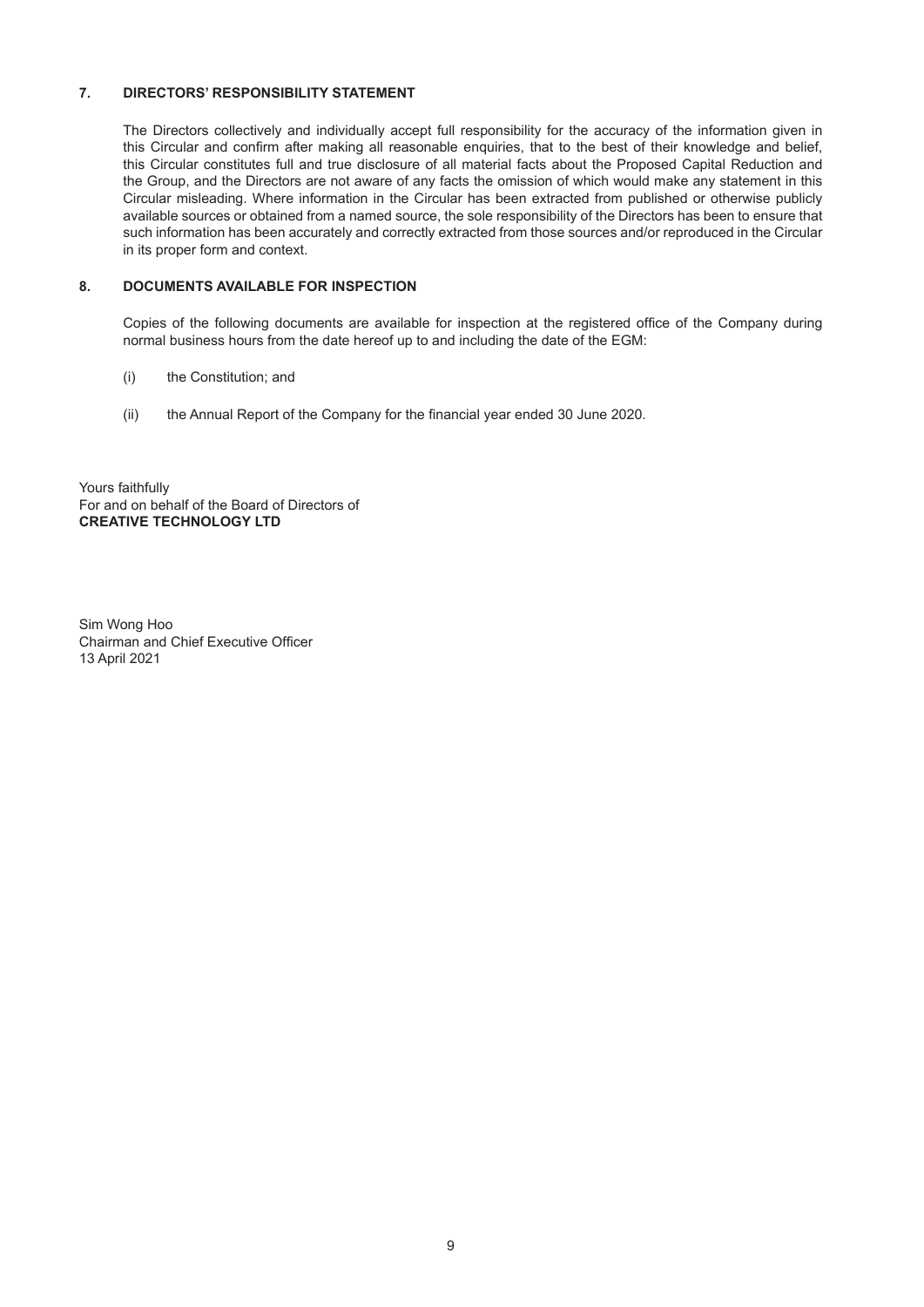## **7. DIRECTORS' RESPONSIBILITY STATEMENT**

The Directors collectively and individually accept full responsibility for the accuracy of the information given in this Circular and confirm after making all reasonable enquiries, that to the best of their knowledge and belief, this Circular constitutes full and true disclosure of all material facts about the Proposed Capital Reduction and the Group, and the Directors are not aware of any facts the omission of which would make any statement in this Circular misleading. Where information in the Circular has been extracted from published or otherwise publicly available sources or obtained from a named source, the sole responsibility of the Directors has been to ensure that such information has been accurately and correctly extracted from those sources and/or reproduced in the Circular in its proper form and context.

# **8. DOCUMENTS AVAILABLE FOR INSPECTION**

Copies of the following documents are available for inspection at the registered office of the Company during normal business hours from the date hereof up to and including the date of the EGM:

- (i) the Constitution; and
- (ii) the Annual Report of the Company for the financial year ended 30 June 2020.

Yours faithfully For and on behalf of the Board of Directors of **CREATIVE TECHNOLOGY LTD**

Sim Wong Hoo Chairman and Chief Executive Officer 13 April 2021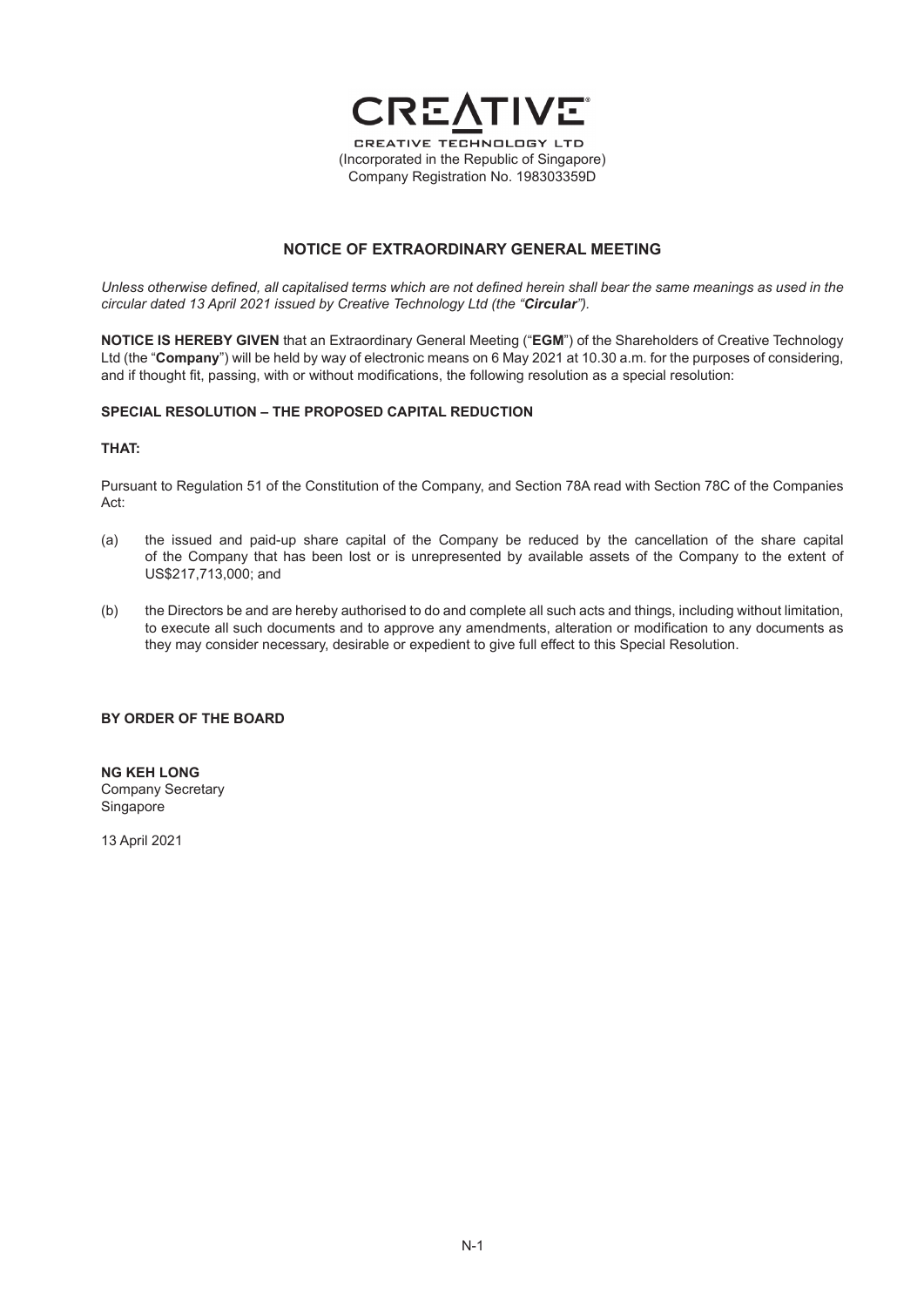

## **NOTICE OF EXTRAORDINARY GENERAL MEETING**

*Unless otherwise defined, all capitalised terms which are not defined herein shall bear the same meanings as used in the circular dated 13 April 2021 issued by Creative Technology Ltd (the "Circular").*

**NOTICE IS HEREBY GIVEN** that an Extraordinary General Meeting ("**EGM**") of the Shareholders of Creative Technology Ltd (the "**Company**") will be held by way of electronic means on 6 May 2021 at 10.30 a.m. for the purposes of considering, and if thought fit, passing, with or without modifications, the following resolution as a special resolution:

#### **SPECIAL RESOLUTION – THE PROPOSED CAPITAL REDUCTION**

#### **THAT:**

Pursuant to Regulation 51 of the Constitution of the Company, and Section 78A read with Section 78C of the Companies Act:

- (a) the issued and paid-up share capital of the Company be reduced by the cancellation of the share capital of the Company that has been lost or is unrepresented by available assets of the Company to the extent of US\$217,713,000; and
- (b) the Directors be and are hereby authorised to do and complete all such acts and things, including without limitation, to execute all such documents and to approve any amendments, alteration or modification to any documents as they may consider necessary, desirable or expedient to give full effect to this Special Resolution.

#### **BY ORDER OF THE BOARD**

**NG KEH LONG** Company Secretary **Singapore** 

13 April 2021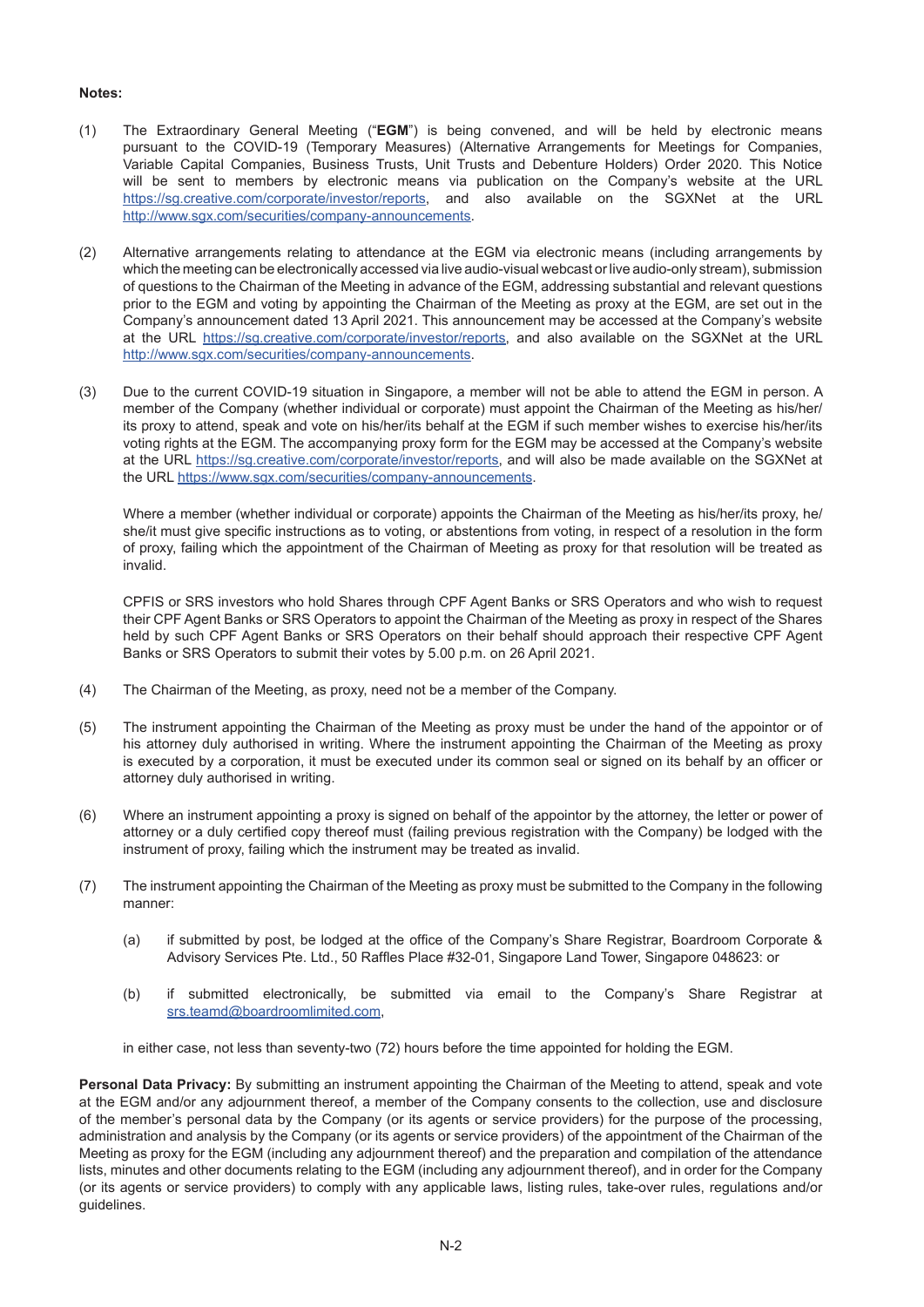## **Notes:**

- (1) The Extraordinary General Meeting ("**EGM**") is being convened, and will be held by electronic means pursuant to the COVID-19 (Temporary Measures) (Alternative Arrangements for Meetings for Companies, Variable Capital Companies, Business Trusts, Unit Trusts and Debenture Holders) Order 2020. This Notice will be sent to members by electronic means via publication on the Company's website at the URL https://sg.creative.com/corporate/investor/reports, and also available on the SGXNet at the URL http://www.sgx.com/securities/company-announcements.
- (2) Alternative arrangements relating to attendance at the EGM via electronic means (including arrangements by which the meeting can be electronically accessed via live audio-visual webcast or live audio-only stream), submission of questions to the Chairman of the Meeting in advance of the EGM, addressing substantial and relevant questions prior to the EGM and voting by appointing the Chairman of the Meeting as proxy at the EGM, are set out in the Company's announcement dated 13 April 2021. This announcement may be accessed at the Company's website at the URL https://sg.creative.com/corporate/investor/reports, and also available on the SGXNet at the URL http://www.sgx.com/securities/company-announcements.
- (3) Due to the current COVID-19 situation in Singapore, a member will not be able to attend the EGM in person. A member of the Company (whether individual or corporate) must appoint the Chairman of the Meeting as his/her/ its proxy to attend, speak and vote on his/her/its behalf at the EGM if such member wishes to exercise his/her/its voting rights at the EGM. The accompanying proxy form for the EGM may be accessed at the Company's website at the URL https://sg.creative.com/corporate/investor/reports, and will also be made available on the SGXNet at the URL https://www.sgx.com/securities/company-announcements.

Where a member (whether individual or corporate) appoints the Chairman of the Meeting as his/her/its proxy, he/ she/it must give specific instructions as to voting, or abstentions from voting, in respect of a resolution in the form of proxy, failing which the appointment of the Chairman of Meeting as proxy for that resolution will be treated as invalid.

CPFIS or SRS investors who hold Shares through CPF Agent Banks or SRS Operators and who wish to request their CPF Agent Banks or SRS Operators to appoint the Chairman of the Meeting as proxy in respect of the Shares held by such CPF Agent Banks or SRS Operators on their behalf should approach their respective CPF Agent Banks or SRS Operators to submit their votes by 5.00 p.m. on 26 April 2021.

- (4) The Chairman of the Meeting, as proxy, need not be a member of the Company.
- (5) The instrument appointing the Chairman of the Meeting as proxy must be under the hand of the appointor or of his attorney duly authorised in writing. Where the instrument appointing the Chairman of the Meeting as proxy is executed by a corporation, it must be executed under its common seal or signed on its behalf by an officer or attorney duly authorised in writing.
- (6) Where an instrument appointing a proxy is signed on behalf of the appointor by the attorney, the letter or power of attorney or a duly certified copy thereof must (failing previous registration with the Company) be lodged with the instrument of proxy, failing which the instrument may be treated as invalid.
- (7) The instrument appointing the Chairman of the Meeting as proxy must be submitted to the Company in the following manner:
	- (a) if submitted by post, be lodged at the office of the Company's Share Registrar, Boardroom Corporate & Advisory Services Pte. Ltd., 50 Raffles Place #32-01, Singapore Land Tower, Singapore 048623: or
	- (b) if submitted electronically, be submitted via email to the Company's Share Registrar at srs.teamd@boardroomlimited.com,

in either case, not less than seventy-two (72) hours before the time appointed for holding the EGM.

**Personal Data Privacy:** By submitting an instrument appointing the Chairman of the Meeting to attend, speak and vote at the EGM and/or any adjournment thereof, a member of the Company consents to the collection, use and disclosure of the member's personal data by the Company (or its agents or service providers) for the purpose of the processing, administration and analysis by the Company (or its agents or service providers) of the appointment of the Chairman of the Meeting as proxy for the EGM (including any adjournment thereof) and the preparation and compilation of the attendance lists, minutes and other documents relating to the EGM (including any adjournment thereof), and in order for the Company (or its agents or service providers) to comply with any applicable laws, listing rules, take-over rules, regulations and/or guidelines.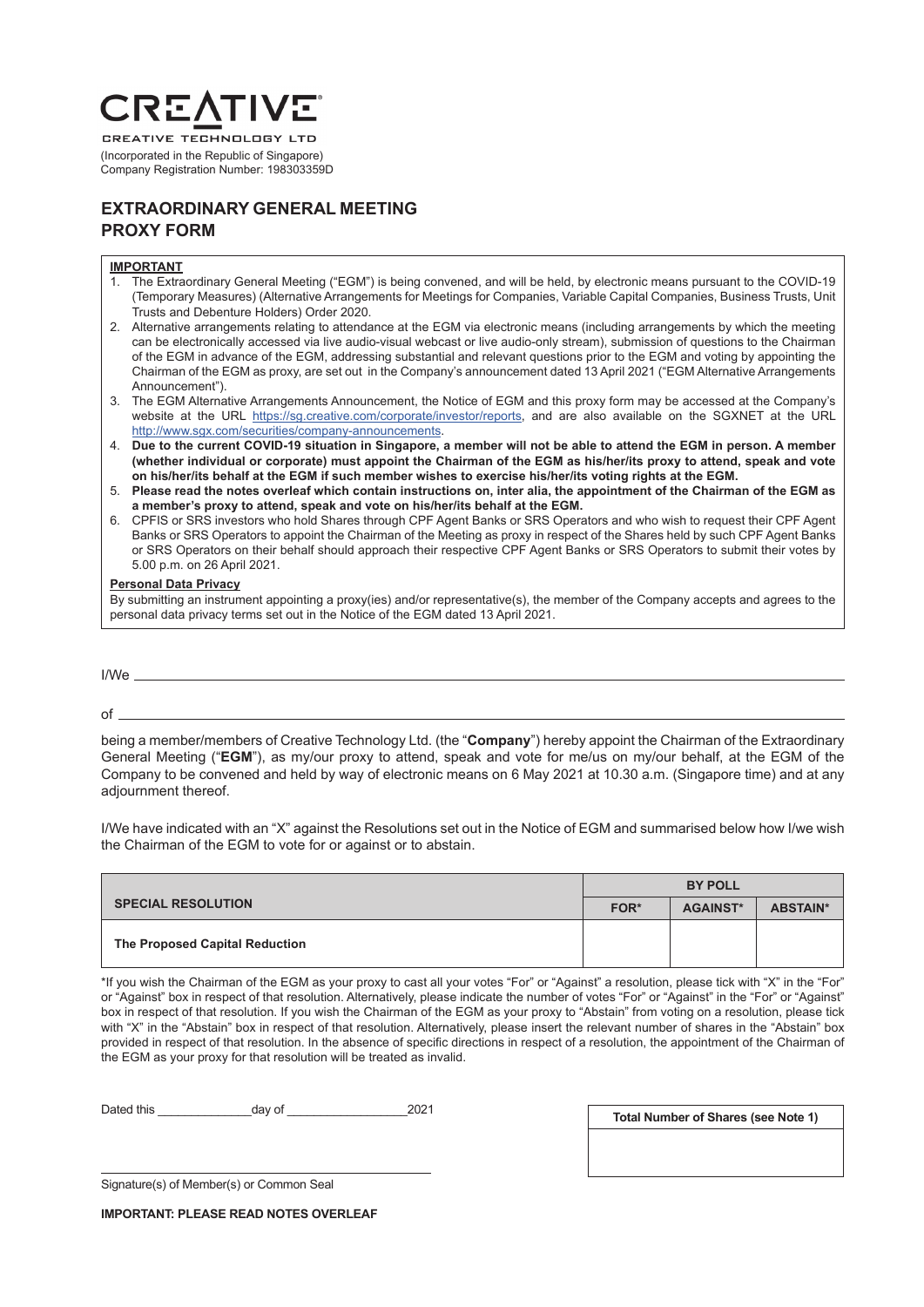# **CREA**

**CREATIVE TECHNOLOGY LTD** (Incorporated in the Republic of Singapore) Company Registration Number: 198303359D

# **EXTRAORDINARY GENERAL MEETING PROXY FORM**

#### **IMPORTANT**

- 1. The Extraordinary General Meeting ("EGM") is being convened, and will be held, by electronic means pursuant to the COVID-19 (Temporary Measures) (Alternative Arrangements for Meetings for Companies, Variable Capital Companies, Business Trusts, Unit Trusts and Debenture Holders) Order 2020.
- 2. Alternative arrangements relating to attendance at the EGM via electronic means (including arrangements by which the meeting can be electronically accessed via live audio-visual webcast or live audio-only stream), submission of questions to the Chairman of the EGM in advance of the EGM, addressing substantial and relevant questions prior to the EGM and voting by appointing the Chairman of the EGM as proxy, are set out in the Company's announcement dated 13 April 2021 ("EGM Alternative Arrangements Announcement").
- 3. The EGM Alternative Arrangements Announcement, the Notice of EGM and this proxy form may be accessed at the Company's website at the URL https://sg.creative.com/corporate/investor/reports, and are also available on the SGXNET at the URL http://www.sgx.com/securities/company-announcements.
- 4. **Due to the current COVID-19 situation in Singapore, a member will not be able to attend the EGM in person. A member (whether individual or corporate) must appoint the Chairman of the EGM as his/her/its proxy to attend, speak and vote on his/her/its behalf at the EGM if such member wishes to exercise his/her/its voting rights at the EGM.**
- 5. **Please read the notes overleaf which contain instructions on, inter alia, the appointment of the Chairman of the EGM as a member's proxy to attend, speak and vote on his/her/its behalf at the EGM.**
- 6. CPFIS or SRS investors who hold Shares through CPF Agent Banks or SRS Operators and who wish to request their CPF Agent Banks or SRS Operators to appoint the Chairman of the Meeting as proxy in respect of the Shares held by such CPF Agent Banks or SRS Operators on their behalf should approach their respective CPF Agent Banks or SRS Operators to submit their votes by 5.00 p.m. on 26 April 2021.

#### **Personal Data Privacy**

By submitting an instrument appointing a proxy(ies) and/or representative(s), the member of the Company accepts and agrees to the personal data privacy terms set out in the Notice of the EGM dated 13 April 2021.

I/We

 $of$   $\overline{\phantom{0}}$ 

being a member/members of Creative Technology Ltd. (the "**Company**") hereby appoint the Chairman of the Extraordinary General Meeting ("**EGM**"), as my/our proxy to attend, speak and vote for me/us on my/our behalf, at the EGM of the Company to be convened and held by way of electronic means on 6 May 2021 at 10.30 a.m. (Singapore time) and at any adjournment thereof.

I/We have indicated with an "X" against the Resolutions set out in the Notice of EGM and summarised below how I/we wish the Chairman of the EGM to vote for or against or to abstain.

|                                | <b>BY POLL</b> |                 |                 |
|--------------------------------|----------------|-----------------|-----------------|
| <b>SPECIAL RESOLUTION</b>      | FOR*           | <b>AGAINST*</b> | <b>ABSTAIN*</b> |
| The Proposed Capital Reduction |                |                 |                 |

\*If you wish the Chairman of the EGM as your proxy to cast all your votes "For" or "Against" a resolution, please tick with "X" in the "For" or "Against" box in respect of that resolution. Alternatively, please indicate the number of votes "For" or "Against" in the "For" or "Against" box in respect of that resolution. If you wish the Chairman of the EGM as your proxy to "Abstain" from voting on a resolution, please tick with "X" in the "Abstain" box in respect of that resolution. Alternatively, please insert the relevant number of shares in the "Abstain" box provided in respect of that resolution. In the absence of specific directions in respect of a resolution, the appointment of the Chairman of the EGM as your proxy for that resolution will be treated as invalid.

Dated this \_\_\_\_\_\_\_\_\_\_\_\_\_\_day of \_\_\_\_\_\_\_\_\_\_\_\_\_\_\_\_\_\_2021

**Total Number of Shares (see Note 1)**

Signature(s) of Member(s) or Common Seal

**IMPORTANT: PLEASE READ NOTES OVERLEAF**